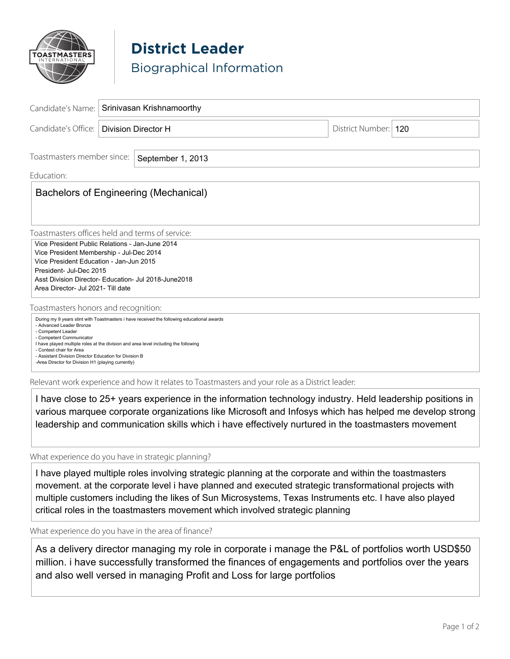

## **District Leader** Biographical Information

| Candidate's Name:                                                                                                                                                                                                                                                                                                                                                                                                                                   | Srinivasan Krishnamoorthy |  |  |                        |  |
|-----------------------------------------------------------------------------------------------------------------------------------------------------------------------------------------------------------------------------------------------------------------------------------------------------------------------------------------------------------------------------------------------------------------------------------------------------|---------------------------|--|--|------------------------|--|
| Candidate's Office:                                                                                                                                                                                                                                                                                                                                                                                                                                 | Division Director H       |  |  | District Number:   120 |  |
| Toastmasters member since:<br>September 1, 2013                                                                                                                                                                                                                                                                                                                                                                                                     |                           |  |  |                        |  |
| Education:<br>Bachelors of Engineering (Mechanical)                                                                                                                                                                                                                                                                                                                                                                                                 |                           |  |  |                        |  |
| Toastmasters offices held and terms of service:<br>Vice President Public Relations - Jan-June 2014<br>Vice President Membership - Jul-Dec 2014<br>Vice President Education - Jan-Jun 2015<br>President- Jul-Dec 2015<br>Asst Division Director- Education- Jul 2018-June 2018<br>Area Director- Jul 2021- Till date                                                                                                                                 |                           |  |  |                        |  |
| Toastmasters honors and recognition:<br>During my 9 years stint with Toastmasters i have received the following educational awards<br>- Advanced Leader Bronze<br>- Competent Leader<br>- Competent Communicator<br>I have played multiple roles at the division and area level including the following<br>- Contest chair for Area<br>- Assistant Division Director Education for Division B<br>-Area Director for Division H1 (playing currently) |                           |  |  |                        |  |

Relevant work experience and how it relates to Toastmasters and your role as a District leader:

I have close to 25+ years experience in the information technology industry. Held leadership positions in various marquee corporate organizations like Microsoft and Infosys which has helped me develop strong leadership and communication skills which i have effectively nurtured in the toastmasters movement

What experience do you have in strategic planning?

I have played multiple roles involving strategic planning at the corporate and within the toastmasters movement. at the corporate level i have planned and executed strategic transformational projects with multiple customers including the likes of Sun Microsystems, Texas Instruments etc. I have also played critical roles in the toastmasters movement which involved strategic planning

What experience do you have in the area of finance?

As a delivery director managing my role in corporate i manage the P&L of portfolios worth USD\$50 million. i have successfully transformed the finances of engagements and portfolios over the years and also well versed in managing Profit and Loss for large portfolios